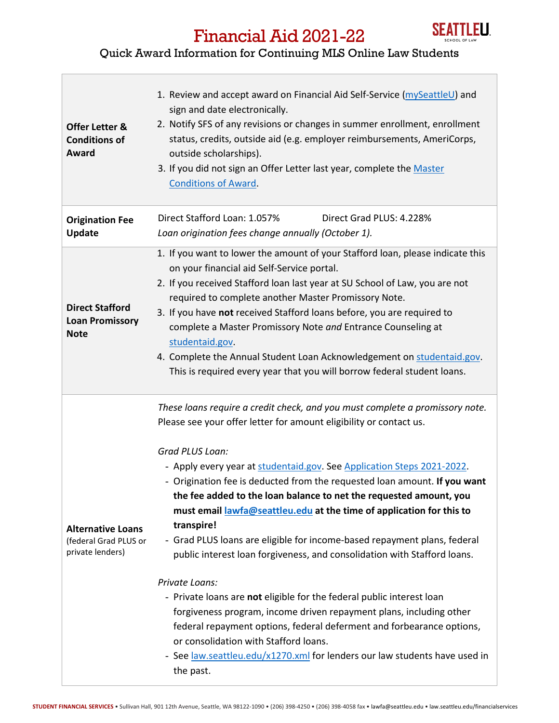

## Financial Aid 2021-22

## Quick Award Information for Continuing MLS Online Law Students

| <b>Offer Letter &amp;</b><br><b>Conditions of</b><br>Award            | 1. Review and accept award on Financial Aid Self-Service (mySeattleU) and<br>sign and date electronically.<br>2. Notify SFS of any revisions or changes in summer enrollment, enrollment<br>status, credits, outside aid (e.g. employer reimbursements, AmeriCorps,<br>outside scholarships).<br>3. If you did not sign an Offer Letter last year, complete the Master<br><b>Conditions of Award.</b>                                                                                                                                                                                                                                                                                                                                                                                                                                                                                                                                                                                                                           |
|-----------------------------------------------------------------------|---------------------------------------------------------------------------------------------------------------------------------------------------------------------------------------------------------------------------------------------------------------------------------------------------------------------------------------------------------------------------------------------------------------------------------------------------------------------------------------------------------------------------------------------------------------------------------------------------------------------------------------------------------------------------------------------------------------------------------------------------------------------------------------------------------------------------------------------------------------------------------------------------------------------------------------------------------------------------------------------------------------------------------|
| <b>Origination Fee</b><br><b>Update</b>                               | Direct Stafford Loan: 1.057%<br>Direct Grad PLUS: 4.228%<br>Loan origination fees change annually (October 1).                                                                                                                                                                                                                                                                                                                                                                                                                                                                                                                                                                                                                                                                                                                                                                                                                                                                                                                  |
| <b>Direct Stafford</b><br><b>Loan Promissory</b><br><b>Note</b>       | 1. If you want to lower the amount of your Stafford loan, please indicate this<br>on your financial aid Self-Service portal.<br>2. If you received Stafford loan last year at SU School of Law, you are not<br>required to complete another Master Promissory Note.<br>3. If you have not received Stafford loans before, you are required to<br>complete a Master Promissory Note and Entrance Counseling at<br>studentaid.gov.<br>4. Complete the Annual Student Loan Acknowledgement on studentaid.gov.<br>This is required every year that you will borrow federal student loans.                                                                                                                                                                                                                                                                                                                                                                                                                                           |
| <b>Alternative Loans</b><br>(federal Grad PLUS or<br>private lenders) | These loans require a credit check, and you must complete a promissory note.<br>Please see your offer letter for amount eligibility or contact us.<br>Grad PLUS Loan:<br>- Apply every year at studentaid.gov. See Application Steps 2021-2022.<br>- Origination fee is deducted from the requested loan amount. If you want<br>the fee added to the loan balance to net the requested amount, you<br>must email lawfa@seattleu.edu at the time of application for this to<br>transpire!<br>- Grad PLUS loans are eligible for income-based repayment plans, federal<br>public interest loan forgiveness, and consolidation with Stafford loans.<br>Private Loans:<br>- Private loans are not eligible for the federal public interest loan<br>forgiveness program, income driven repayment plans, including other<br>federal repayment options, federal deferment and forbearance options,<br>or consolidation with Stafford loans.<br>- See law.seattleu.edu/x1270.xml for lenders our law students have used in<br>the past. |